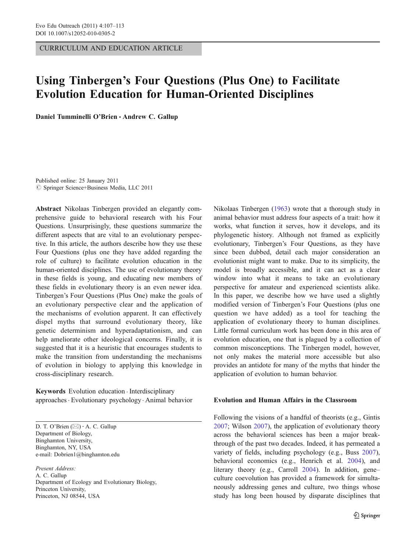CURRICULUM AND EDUCATION ARTICLE

# Using Tinbergen's Four Questions (Plus One) to Facilitate Evolution Education for Human-Oriented Disciplines

Daniel Tumminelli O'Brien · Andrew C. Gallup

Published online: 25 January 2011  $\circ$  Springer Science+Business Media, LLC 2011

Abstract Nikolaas Tinbergen provided an elegantly comprehensive guide to behavioral research with his Four Questions. Unsurprisingly, these questions summarize the different aspects that are vital to an evolutionary perspective. In this article, the authors describe how they use these Four Questions (plus one they have added regarding the role of culture) to facilitate evolution education in the human-oriented disciplines. The use of evolutionary theory in these fields is young, and educating new members of these fields in evolutionary theory is an even newer idea. Tinbergen's Four Questions (Plus One) make the goals of an evolutionary perspective clear and the application of the mechanisms of evolution apparent. It can effectively dispel myths that surround evolutionary theory, like genetic determinism and hyperadaptationism, and can help ameliorate other ideological concerns. Finally, it is suggested that it is a heuristic that encourages students to make the transition from understanding the mechanisms of evolution in biology to applying this knowledge in cross-disciplinary research.

Keywords Evolution education . Interdisciplinary approaches. Evolutionary psychology . Animal behavior

D. T. O'Brien  $(\boxtimes) \cdot$  A. C. Gallup Department of Biology, Binghamton University, Binghamton, NY, USA e-mail: Dobrien1@binghamton.edu

Present Address: A. C. Gallup Department of Ecology and Evolutionary Biology, Princeton University, Princeton, NJ 08544, USA

Nikolaas Tinbergen [\(1963](#page-6-0)) wrote that a thorough study in animal behavior must address four aspects of a trait: how it works, what function it serves, how it develops, and its phylogenetic history. Although not framed as explicitly evolutionary, Tinbergen's Four Questions, as they have since been dubbed, detail each major consideration an evolutionist might want to make. Due to its simplicity, the model is broadly accessible, and it can act as a clear window into what it means to take an evolutionary perspective for amateur and experienced scientists alike. In this paper, we describe how we have used a slightly modified version of Tinbergen's Four Questions (plus one question we have added) as a tool for teaching the application of evolutionary theory to human disciplines. Little formal curriculum work has been done in this area of evolution education, one that is plagued by a collection of common misconceptions. The Tinbergen model, however, not only makes the material more accessible but also provides an antidote for many of the myths that hinder the application of evolution to human behavior.

# Evolution and Human Affairs in the Classroom

Following the visions of a handful of theorists (e.g., Gintis [2007](#page-6-0); Wilson [2007](#page-6-0)), the application of evolutionary theory across the behavioral sciences has been a major breakthrough of the past two decades. Indeed, it has permeated a variety of fields, including psychology (e.g., Buss [2007\)](#page-6-0), behavioral economics (e.g., Henrich et al. [2004\)](#page-6-0), and literary theory (e.g., Carroll [2004\)](#page-6-0). In addition, gene– culture coevolution has provided a framework for simultaneously addressing genes and culture, two things whose study has long been housed by disparate disciplines that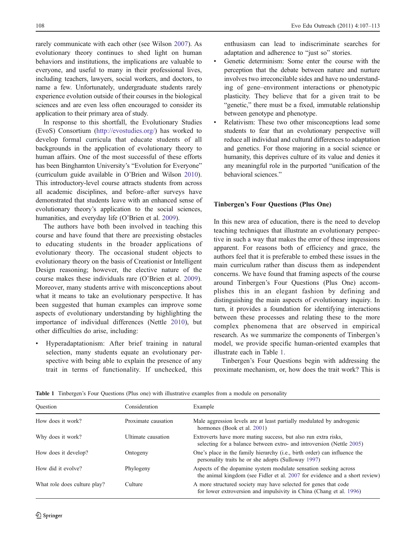<span id="page-1-0"></span>rarely communicate with each other (see Wilson [2007](#page-6-0)). As evolutionary theory continues to shed light on human behaviors and institutions, the implications are valuable to everyone, and useful to many in their professional lives, including teachers, lawyers, social workers, and doctors, to name a few. Unfortunately, undergraduate students rarely experience evolution outside of their courses in the biological sciences and are even less often encouraged to consider its application to their primary area of study.

In response to this shortfall, the Evolutionary Studies (EvoS) Consortium [\(http://evostudies.org/\)](http://www.politicsandculture.org/2010/04/29/symposium-on-the-question-how-is-culturebiological-six-essays-and-discussions-essay-4-by-peter-j-richerson-culture-is-an-active-part-of-biology/) has worked to develop formal curricula that educate students of all backgrounds in the application of evolutionary theory to human affairs. One of the most successful of these efforts has been Binghamton University's "Evolution for Everyone" (curriculum guide available in O'Brien and Wilson [2010\)](#page-6-0). This introductory-level course attracts students from across all academic disciplines, and before–after surveys have demonstrated that students leave with an enhanced sense of evolutionary theory's application to the social sciences, humanities, and everyday life (O'Brien et al. [2009\)](#page-6-0).

The authors have both been involved in teaching this course and have found that there are preexisting obstacles to educating students in the broader applications of evolutionary theory. The occasional student objects to evolutionary theory on the basis of Creationist or Intelligent Design reasoning; however, the elective nature of the course makes these individuals rare (O'Brien et al. [2009](#page-6-0)). Moreover, many students arrive with misconceptions about what it means to take an evolutionary perspective. It has been suggested that human examples can improve some aspects of evolutionary understanding by highlighting the importance of individual differences (Nettle [2010\)](#page-6-0), but other difficulties do arise, including:

& Hyperadaptationism: After brief training in natural selection, many students equate an evolutionary perspective with being able to explain the presence of any trait in terms of functionality. If unchecked, this enthusiasm can lead to indiscriminate searches for adaptation and adherence to "just so" stories.

- Genetic determinism: Some enter the course with the perception that the debate between nature and nurture involves two irreconcilable sides and have no understanding of gene–environment interactions or phenotypic plasticity. They believe that for a given trait to be "genetic," there must be a fixed, immutable relationship between genotype and phenotype.
- Relativism: These two other misconceptions lead some students to fear that an evolutionary perspective will reduce all individual and cultural differences to adaptation and genetics. For those majoring in a social science or humanity, this deprives culture of its value and denies it any meaningful role in the purported "unification of the behavioral sciences."

# Tinbergen's Four Questions (Plus One)

In this new area of education, there is the need to develop teaching techniques that illustrate an evolutionary perspective in such a way that makes the error of these impressions apparent. For reasons both of efficiency and grace, the authors feel that it is preferable to embed these issues in the main curriculum rather than discuss them as independent concerns. We have found that framing aspects of the course around Tinbergen's Four Questions (Plus One) accomplishes this in an elegant fashion by defining and distinguishing the main aspects of evolutionary inquiry. In turn, it provides a foundation for identifying interactions between these processes and relating these to the more complex phenomena that are observed in empirical research. As we summarize the components of Tinbergen's model, we provide specific human-oriented examples that illustrate each in Table 1.

Tinbergen's Four Questions begin with addressing the proximate mechanism, or, how does the trait work? This is

|  |  |  |  |  | Table 1 Tinbergen's Four Questions (Plus one) with illustrative examples from a module on personality |
|--|--|--|--|--|-------------------------------------------------------------------------------------------------------|
|--|--|--|--|--|-------------------------------------------------------------------------------------------------------|

| Question                     | Consideration       | Example                                                                                                                                         |
|------------------------------|---------------------|-------------------------------------------------------------------------------------------------------------------------------------------------|
| How does it work?            | Proximate causation | Male aggression levels are at least partially modulated by androgenic<br>hormones (Book et al. 2001)                                            |
| Why does it work?            | Ultimate causation  | Extroverts have more mating success, but also run extra risks,<br>selecting for a balance between extro- and introversion (Nettle 2005)         |
| How does it develop?         | Ontogeny            | One's place in the family hierarchy (i.e., birth order) can influence the<br>personality traits he or she adopts (Sulloway 1997)                |
| How did it evolve?           | Phylogeny           | Aspects of the dopamine system modulate sensation seeking across<br>the animal kingdom (see Fidler et al. 2007 for evidence and a short review) |
| What role does culture play? | Culture             | A more structured society may have selected for genes that code<br>for lower extroversion and impulsivity in China (Chang et al. 1996)          |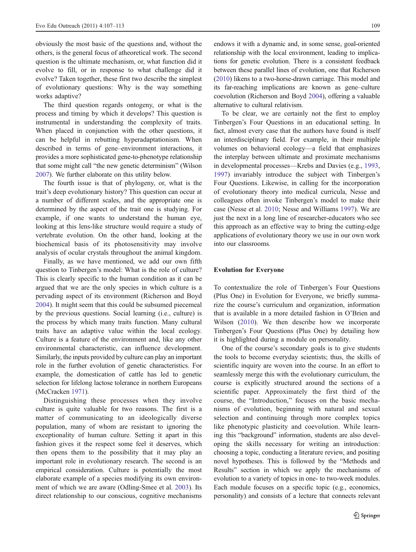obviously the most basic of the questions and, without the others, is the general focus of atheoretical work. The second question is the ultimate mechanism, or, what function did it evolve to fill, or in response to what challenge did it evolve? Taken together, these first two describe the simplest of evolutionary questions: Why is the way something works adaptive?

The third question regards ontogeny, or what is the process and timing by which it develops? This question is instrumental in understanding the complexity of traits. When placed in conjunction with the other questions, it can be helpful in rebutting hyperadaptationism. When described in terms of gene–environment interactions, it provides a more sophisticated gene-to-phenotype relationship that some might call "the new genetic determinism" (Wilson [2007\)](#page-6-0). We further elaborate on this utility below.

The fourth issue is that of phylogeny, or, what is the trait's deep evolutionary history? This question can occur at a number of different scales, and the appropriate one is determined by the aspect of the trait one is studying. For example, if one wants to understand the human eye, looking at this lens-like structure would require a study of vertebrate evolution. On the other hand, looking at the biochemical basis of its photosensitivity may involve analysis of ocular crystals throughout the animal kingdom.

Finally, as we have mentioned, we add our own fifth question to Tinbergen's model: What is the role of culture? This is clearly specific to the human condition as it can be argued that we are the only species in which culture is a pervading aspect of its environment (Richerson and Boyd [2004\)](#page-6-0). It might seem that this could be subsumed piecemeal by the previous questions. Social learning (i.e., culture) is the process by which many traits function. Many cultural traits have an adaptive value within the local ecology. Culture is a feature of the environment and, like any other environmental characteristic, can influence development. Similarly, the inputs provided by culture can play an important role in the further evolution of genetic characteristics. For example, the domestication of cattle has led to genetic selection for lifelong lactose tolerance in northern Europeans (McCracken [1971\)](#page-6-0).

Distinguishing these processes when they involve culture is quite valuable for two reasons. The first is a matter of communicating to an ideologically diverse population, many of whom are resistant to ignoring the exceptionality of human culture. Setting it apart in this fashion gives it the respect some feel it deserves, which then opens them to the possibility that it may play an important role in evolutionary research. The second is an empirical consideration. Culture is potentially the most elaborate example of a species modifying its own environment of which we are aware (Odling-Smee et al. [2003\)](#page-6-0). Its direct relationship to our conscious, cognitive mechanisms

endows it with a dynamic and, in some sense, goal-oriented relationship with the local environment, leading to implications for genetic evolution. There is a consistent feedback between these parallel lines of evolution, one that Richerson [\(2010\)](#page-6-0) likens to a two-horse-drawn carriage. This model and its far-reaching implications are known as gene–culture coevolution (Richerson and Boyd [2004\)](#page-6-0), offering a valuable alternative to cultural relativism.

To be clear, we are certainly not the first to employ Tinbergen's Four Questions in an educational setting. In fact, almost every case that the authors have found is itself an interdisciplinary field. For example, in their multiple volumes on behavioral ecology—a field that emphasizes the interplay between ultimate and proximate mechanisms in developmental processes—Krebs and Davies (e.g., [1993,](#page-6-0) [1997](#page-6-0)) invariably introduce the subject with Tinbergen's Four Questions. Likewise, in calling for the incorporation of evolutionary theory into medical curricula, Nesse and colleagues often invoke Tinbergen's model to make their case (Nesse et al. [2010;](#page-6-0) Nesse and Williams [1997](#page-6-0)). We are just the next in a long line of researcher-educators who see this approach as an effective way to bring the cutting-edge applications of evolutionary theory we use in our own work into our classrooms.

## Evolution for Everyone

To contextualize the role of Tinbergen's Four Questions (Plus One) in Evolution for Everyone, we briefly summarize the course's curriculum and organization, information that is available in a more detailed fashion in O'Brien and Wilson ([2010](#page-6-0)). We then describe how we incorporate Tinbergen's Four Questions (Plus One) by detailing how it is highlighted during a module on personality.

One of the course's secondary goals is to give students the tools to become everyday scientists; thus, the skills of scientific inquiry are woven into the course. In an effort to seamlessly merge this with the evolutionary curriculum, the course is explicitly structured around the sections of a scientific paper. Approximately the first third of the course, the "Introduction," focuses on the basic mechanisms of evolution, beginning with natural and sexual selection and continuing through more complex topics like phenotypic plasticity and coevolution. While learning this "background" information, students are also developing the skills necessary for writing an introduction: choosing a topic, conducting a literature review, and positing novel hypotheses. This is followed by the "Methods and Results" section in which we apply the mechanisms of evolution to a variety of topics in one- to two-week modules. Each module focuses on a specific topic (e.g., economics, personality) and consists of a lecture that connects relevant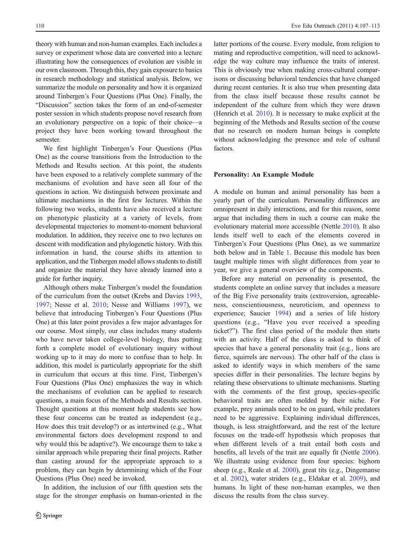theory with human and non-human examples. Each includes a survey or experiment whose data are converted into a lecture illustrating how the consequences of evolution are visible in our own classroom. Through this, they gain exposure to basics in research methodology and statistical analysis. Below, we summarize the module on personality and how it is organized around Tinbergen's Four Questions (Plus One). Finally, the "Discussion" section takes the form of an end-of-semester poster session in which students propose novel research from an evolutionary perspective on a topic of their choice—a project they have been working toward throughout the semester.

We first highlight Tinbergen's Four Questions (Plus One) as the course transitions from the Introduction to the Methods and Results section. At this point, the students have been exposed to a relatively complete summary of the mechanisms of evolution and have seen all four of the questions in action. We distinguish between proximate and ultimate mechanisms in the first few lectures. Within the following two weeks, students have also received a lecture on phenotypic plasticity at a variety of levels, from developmental trajectories to moment-to-moment behavioral modulation. In addition, they receive one to two lectures on descent with modification and phylogenetic history. With this information in hand, the course shifts its attention to application, and the Tinbergen model allows students to distill and organize the material they have already learned into a guide for further inquiry.

Although others make Tinbergen's model the foundation of the curriculum from the outset (Krebs and Davies [1993,](#page-6-0) [1997;](#page-6-0) Nesse et al. [2010](#page-6-0); Nesse and Williams [1997](#page-6-0)), we believe that introducing Tinbergen's Four Questions (Plus One) at this later point provides a few major advantages for our course. Most simply, our class includes many students who have never taken college-level biology, thus putting forth a complete model of evolutionary inquiry without working up to it may do more to confuse than to help. In addition, this model is particularly appropriate for the shift in curriculum that occurs at this time. First, Tinbergen's Four Questions (Plus One) emphasizes the way in which the mechanisms of evolution can be applied to research questions, a main focus of the Methods and Results section. Thought questions at this moment help students see how these four concerns can be treated as independent (e.g., How does this trait develop?) or as intertwined (e.g., What environmental factors does development respond to and why would this be adaptive?). We encourage them to take a similar approach while preparing their final projects. Rather than casting around for the appropriate approach to a problem, they can begin by determining which of the Four Questions (Plus One) need be invoked.

In addition, the inclusion of our fifth question sets the stage for the stronger emphasis on human-oriented in the

latter portions of the course. Every module, from religion to mating and reproductive competition, will need to acknowledge the way culture may influence the traits of interest. This is obviously true when making cross-cultural comparisons or discussing behavioral tendencies that have changed during recent centuries. It is also true when presenting data from the class itself because those results cannot be independent of the culture from which they were drawn (Henrich et al. [2010\)](#page-6-0). It is necessary to make explicit at the beginning of the Methods and Results section of the course that no research on modern human beings is complete without acknowledging the presence and role of cultural factors.

## Personality: An Example Module

A module on human and animal personality has been a yearly part of the curriculum. Personality differences are omnipresent in daily interactions, and for this reason, some argue that including them in such a course can make the evolutionary material more accessible (Nettle [2010\)](#page-6-0). It also lends itself well to each of the elements covered in Tinbergen's Four Questions (Plus One), as we summarize both below and in Table [1.](#page-1-0) Because this module has been taught multiple times with slight differences from year to year, we give a general overview of the components.

Before any material on personality is presented, the students complete an online survey that includes a measure of the Big Five personality traits (extroversion, agreeableness, conscientiousness, neuroticism, and openness to experience; Saucier [1994\)](#page-6-0) and a series of life history questions (e.g., "Have you ever received a speeding ticket?"). The first class period of the module then starts with an activity. Half of the class is asked to think of species that have a general personality trait (e.g., lions are fierce, squirrels are nervous). The other half of the class is asked to identify ways in which members of the same species differ in their personalities. The lecture begins by relating these observations to ultimate mechanisms. Starting with the comments of the first group, species-specific behavioral traits are often molded by their niche. For example, prey animals need to be on guard, while predators need to be aggressive. Explaining individual differences, though, is less straightforward, and the rest of the lecture focuses on the trade-off hypothesis which proposes that when different levels of a trait entail both costs and benefits, all levels of the trait are equally fit (Nettle [2006\)](#page-6-0). We illustrate using evidence from four species: bighorn sheep (e.g., Reale et al. [2000](#page-6-0)), great tits (e.g., Dingemanse et al. [2002](#page-6-0)), water striders (e.g., Eldakar et al. [2009](#page-6-0)), and humans. In light of these non-human examples, we then discuss the results from the class survey.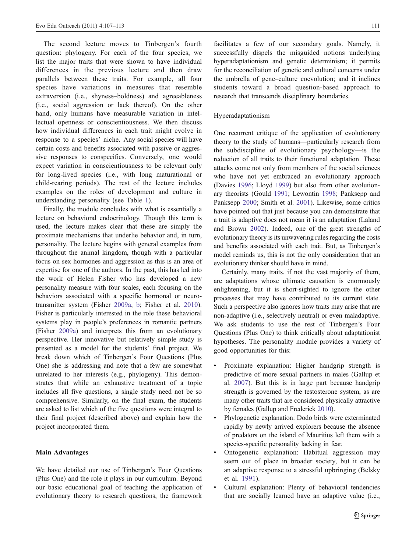The second lecture moves to Tinbergen's fourth question: phylogeny. For each of the four species, we list the major traits that were shown to have individual differences in the previous lecture and then draw parallels between these traits. For example, all four species have variations in measures that resemble extraversion (i.e., shyness–boldness) and agreeableness (i.e., social aggression or lack thereof). On the other hand, only humans have measurable variation in intellectual openness or conscientiousness. We then discuss how individual differences in each trait might evolve in response to a species' niche. Any social species will have certain costs and benefits associated with passive or aggressive responses to conspecifics. Conversely, one would expect variation in conscientiousness to be relevant only for long-lived species (i.e., with long maturational or child-rearing periods). The rest of the lecture includes examples on the roles of development and culture in understanding personality (see Table [1\)](#page-1-0).

Finally, the module concludes with what is essentially a lecture on behavioral endocrinology. Though this term is used, the lecture makes clear that these are simply the proximate mechanisms that underlie behavior and, in turn, personality. The lecture begins with general examples from throughout the animal kingdom, though with a particular focus on sex hormones and aggression as this is an area of expertise for one of the authors. In the past, this has led into the work of Helen Fisher who has developed a new personality measure with four scales, each focusing on the behaviors associated with a specific hormonal or neurotransmitter system (Fisher [2009a,](#page-6-0) [b](#page-6-0); Fisher et al. [2010](#page-6-0)). Fisher is particularly interested in the role these behavioral systems play in people's preferences in romantic partners (Fisher [2009a\)](#page-6-0) and interprets this from an evolutionary perspective. Her innovative but relatively simple study is presented as a model for the students' final project. We break down which of Tinbergen's Four Questions (Plus One) she is addressing and note that a few are somewhat unrelated to her interests (e.g., phylogeny). This demonstrates that while an exhaustive treatment of a topic includes all five questions, a single study need not be so comprehensive. Similarly, on the final exam, the students are asked to list which of the five questions were integral to their final project (described above) and explain how the project incorporated them.

# Main Advantages

We have detailed our use of Tinbergen's Four Questions (Plus One) and the role it plays in our curriculum. Beyond our basic educational goal of teaching the application of evolutionary theory to research questions, the framework

facilitates a few of our secondary goals. Namely, it successfully dispels the misguided notions underlying hyperadaptationism and genetic determinism; it permits for the reconciliation of genetic and cultural concerns under the umbrella of gene–culture coevolution; and it inclines students toward a broad question-based approach to research that transcends disciplinary boundaries.

#### Hyperadaptationism

One recurrent critique of the application of evolutionary theory to the study of humans—particularly research from the subdiscipline of evolutionary psychology—is the reduction of all traits to their functional adaptation. These attacks come not only from members of the social sciences who have not yet embraced an evolutionary approach (Davies [1996](#page-6-0); Lloyd [1999](#page-6-0)) but also from other evolutionary theorists (Gould [1991](#page-6-0); Lewontin [1998](#page-6-0); Panksepp and Panksepp [2000;](#page-6-0) Smith et al. [2001\)](#page-6-0). Likewise, some critics have pointed out that just because you can demonstrate that a trait is adaptive does not mean it is an adaptation (Laland and Brown [2002\)](#page-6-0). Indeed, one of the great strengths of evolutionary theory is its unwavering rules regarding the costs and benefits associated with each trait. But, as Tinbergen's model reminds us, this is not the only consideration that an evolutionary thinker should have in mind.

Certainly, many traits, if not the vast majority of them, are adaptations whose ultimate causation is enormously enlightening, but it is short-sighted to ignore the other processes that may have contributed to its current state. Such a perspective also ignores how traits may arise that are non-adaptive (i.e., selectively neutral) or even maladaptive. We ask students to use the rest of Tinbergen's Four Questions (Plus One) to think critically about adaptationist hypotheses. The personality module provides a variety of good opportunities for this:

- & Proximate explanation: Higher handgrip strength is predictive of more sexual partners in males (Gallup et al. [2007](#page-6-0)). But this is in large part because handgrip strength is governed by the testosterone system, as are many other traits that are considered physically attractive by females (Gallup and Frederick [2010](#page-6-0)).
- & Phylogenetic explanation: Dodo birds were exterminated rapidly by newly arrived explorers because the absence of predators on the island of Mauritius left them with a species-specific personality lacking in fear.
- Ontogenetic explanation: Habitual aggression may seem out of place in broader society, but it can be an adaptive response to a stressful upbringing (Belsky et al. [1991](#page-6-0)).
- Cultural explanation: Plenty of behavioral tendencies that are socially learned have an adaptive value (i.e.,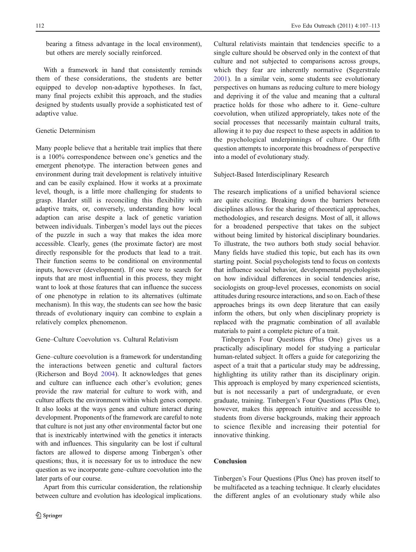bearing a fitness advantage in the local environment), but others are merely socially reinforced.

With a framework in hand that consistently reminds them of these considerations, the students are better equipped to develop non-adaptive hypotheses. In fact, many final projects exhibit this approach, and the studies designed by students usually provide a sophisticated test of adaptive value.

# Genetic Determinism

Many people believe that a heritable trait implies that there is a 100% correspondence between one's genetics and the emergent phenotype. The interaction between genes and environment during trait development is relatively intuitive and can be easily explained. How it works at a proximate level, though, is a little more challenging for students to grasp. Harder still is reconciling this flexibility with adaptive traits, or, conversely, understanding how local adaption can arise despite a lack of genetic variation between individuals. Tinbergen's model lays out the pieces of the puzzle in such a way that makes the idea more accessible. Clearly, genes (the proximate factor) are most directly responsible for the products that lead to a trait. Their function seems to be conditional on environmental inputs, however (development). If one were to search for inputs that are most influential in this process, they might want to look at those features that can influence the success of one phenotype in relation to its alternatives (ultimate mechanism). In this way, the students can see how the basic threads of evolutionary inquiry can combine to explain a relatively complex phenomenon.

# Gene–Culture Coevolution vs. Cultural Relativism

Gene–culture coevolution is a framework for understanding the interactions between genetic and cultural factors (Richerson and Boyd [2004\)](#page-6-0). It acknowledges that genes and culture can influence each other's evolution; genes provide the raw material for culture to work with, and culture affects the environment within which genes compete. It also looks at the ways genes and culture interact during development. Proponents of the framework are careful to note that culture is not just any other environmental factor but one that is inextricably intertwined with the genetics it interacts with and influences. This singularity can be lost if cultural factors are allowed to disperse among Tinbergen's other questions; thus, it is necessary for us to introduce the new question as we incorporate gene–culture coevolution into the later parts of our course.

Apart from this curricular consideration, the relationship between culture and evolution has ideological implications.

Cultural relativists maintain that tendencies specific to a single culture should be observed only in the context of that culture and not subjected to comparisons across groups, which they fear are inherently normative (Segerstrale [2001](#page-6-0)). In a similar vein, some students see evolutionary perspectives on humans as reducing culture to mere biology and depriving it of the value and meaning that a cultural practice holds for those who adhere to it. Gene–culture coevolution, when utilized appropriately, takes note of the social processes that necessarily maintain cultural traits, allowing it to pay due respect to these aspects in addition to the psychological underpinnings of culture. Our fifth question attempts to incorporate this broadness of perspective into a model of evolutionary study.

## Subject-Based Interdisciplinary Research

The research implications of a unified behavioral science are quite exciting. Breaking down the barriers between disciplines allows for the sharing of theoretical approaches, methodologies, and research designs. Most of all, it allows for a broadened perspective that takes on the subject without being limited by historical disciplinary boundaries. To illustrate, the two authors both study social behavior. Many fields have studied this topic, but each has its own starting point. Social psychologists tend to focus on contexts that influence social behavior, developmental psychologists on how individual differences in social tendencies arise, sociologists on group-level processes, economists on social attitudes during resource interactions, and so on. Each of these approaches brings its own deep literature that can easily inform the others, but only when disciplinary propriety is replaced with the pragmatic combination of all available materials to paint a complete picture of a trait.

Tinbergen's Four Questions (Plus One) gives us a practically adisciplinary model for studying a particular human-related subject. It offers a guide for categorizing the aspect of a trait that a particular study may be addressing, highlighting its utility rather than its disciplinary origin. This approach is employed by many experienced scientists, but is not necessarily a part of undergraduate, or even graduate, training. Tinbergen's Four Questions (Plus One), however, makes this approach intuitive and accessible to students from diverse backgrounds, making their approach to science flexible and increasing their potential for innovative thinking.

## Conclusion

Tinbergen's Four Questions (Plus One) has proven itself to be multifaceted as a teaching technique. It clearly elucidates the different angles of an evolutionary study while also